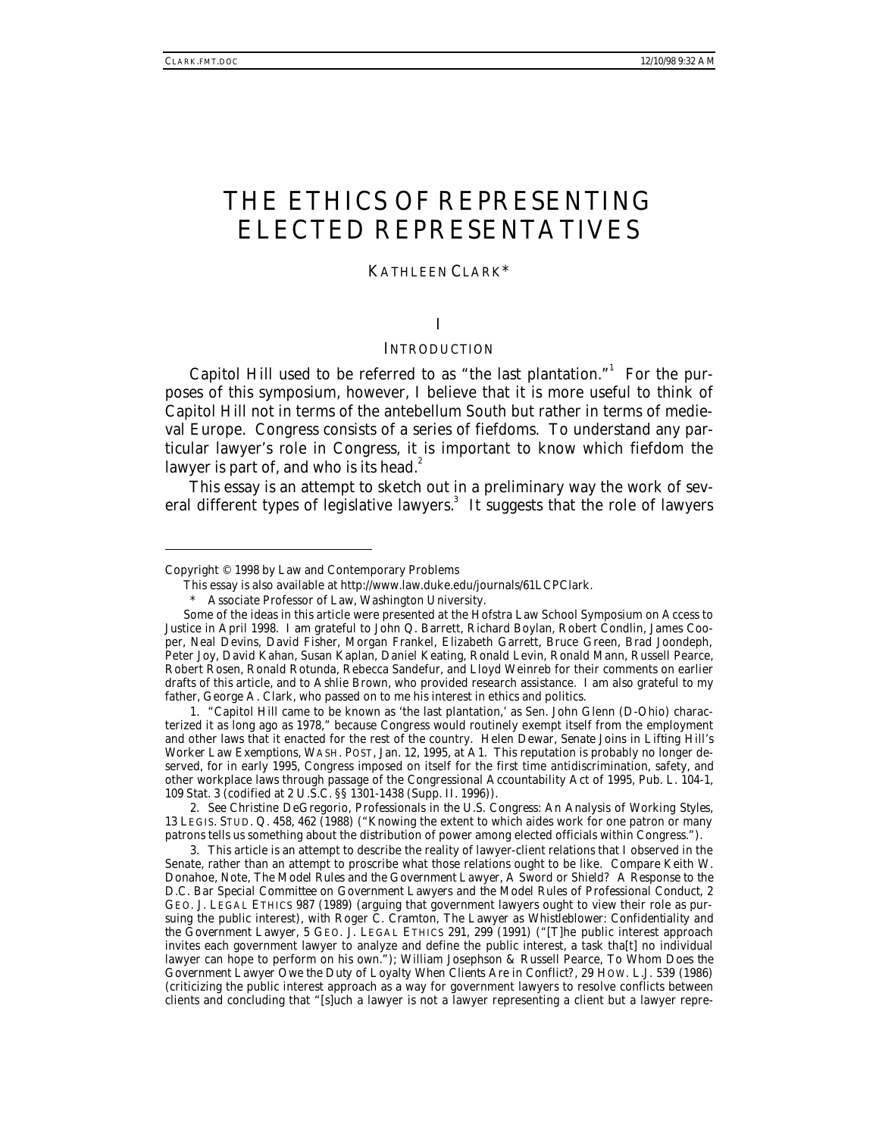# THE ETHICS OF REPRESENTING ELECTED REPRESENTATIVES

#### KATHLEEN CLARK\*

# I

# **INTRODUCTION**

Capitol Hill used to be referred to as "the last plantation."<sup>1</sup> For the purposes of this symposium, however, I believe that it is more useful to think of Capitol Hill not in terms of the antebellum South but rather in terms of medieval Europe. Congress consists of a series of fiefdoms. To understand any particular lawyer's role in Congress, it is important to know which fiefdom the lawyer is part of, and who is its head. $2$ 

This essay is an attempt to sketch out in a preliminary way the work of several different types of legislative lawyers.<sup>3</sup> It suggests that the role of lawyers

-

2*. See* Christine DeGregorio, *Professionals in the U.S. Congress: An Analysis of Working Styles*, 13 LEGIS. STUD. Q. 458, 462 (1988) ("Knowing the extent to which aides work for one patron or many patrons tells us something about the distribution of power among elected officials within Congress.").

3. This article is an attempt to describe the reality of lawyer-client relations that I observed in the Senate, rather than an attempt to proscribe what those relations ought to be like. *Compare* Keith W. Donahoe, Note, *The Model Rules and the Government Lawyer, A Sword or Shield? A Response to the D.C. Bar Special Committee on Government Lawyers and the Model Rules of Professional Conduct*, 2 GEO. J. LEGAL ETHICS 987 (1989) (arguing that government lawyers ought to view their role as pursuing the public interest), *with* Roger C. Cramton, *The Lawyer as Whistleblower: Confidentiality and the Government Lawyer*, 5 GEO. J. LEGAL ETHICS 291, 299 (1991) ("[T]he public interest approach invites each government lawyer to analyze and define the public interest, a task tha[t] no individual lawyer can hope to perform on his own."); William Josephson & Russell Pearce, *To Whom Does the Government Lawyer Owe the Duty of Loyalty When Clients Are in Conflict?*, 29 HOW. L.J. 539 (1986) (criticizing the public interest approach as a way for government lawyers to resolve conflicts between clients and concluding that "[s]uch a lawyer is not a lawyer representing a client but a lawyer repre-

Copyright © 1998 by Law and Contemporary Problems

This essay is also available at http://www.law.duke.edu/journals/61LCPClark.

Associate Professor of Law, Washington University.

Some of the ideas in this article were presented at the Hofstra Law School Symposium on Access to Justice in April 1998. I am grateful to John Q. Barrett, Richard Boylan, Robert Condlin, James Cooper, Neal Devins, David Fisher, Morgan Frankel, Elizabeth Garrett, Bruce Green, Brad Joondeph, Peter Joy, David Kahan, Susan Kaplan, Daniel Keating, Ronald Levin, Ronald Mann, Russell Pearce, Robert Rosen, Ronald Rotunda, Rebecca Sandefur, and Lloyd Weinreb for their comments on earlier drafts of this article, and to Ashlie Brown, who provided research assistance. I am also grateful to my father, George A. Clark, who passed on to me his interest in ethics and politics.

<sup>1. &</sup>quot;Capitol Hill came to be known as 'the last plantation,' as Sen. John Glenn (D-Ohio) characterized it as long ago as 1978," because Congress would routinely exempt itself from the employment and other laws that it enacted for the rest of the country. Helen Dewar, *Senate Joins in Lifting Hill's Worker Law Exemptions*, WASH. POST, Jan. 12, 1995, at A1. This reputation is probably no longer deserved, for in early 1995, Congress imposed on itself for the first time antidiscrimination, safety, and other workplace laws through passage of the Congressional Accountability Act of 1995, Pub. L. 104-1, 109 Stat. 3 (codified at 2 U.S.C. §§ 1301-1438 (Supp. II. 1996)).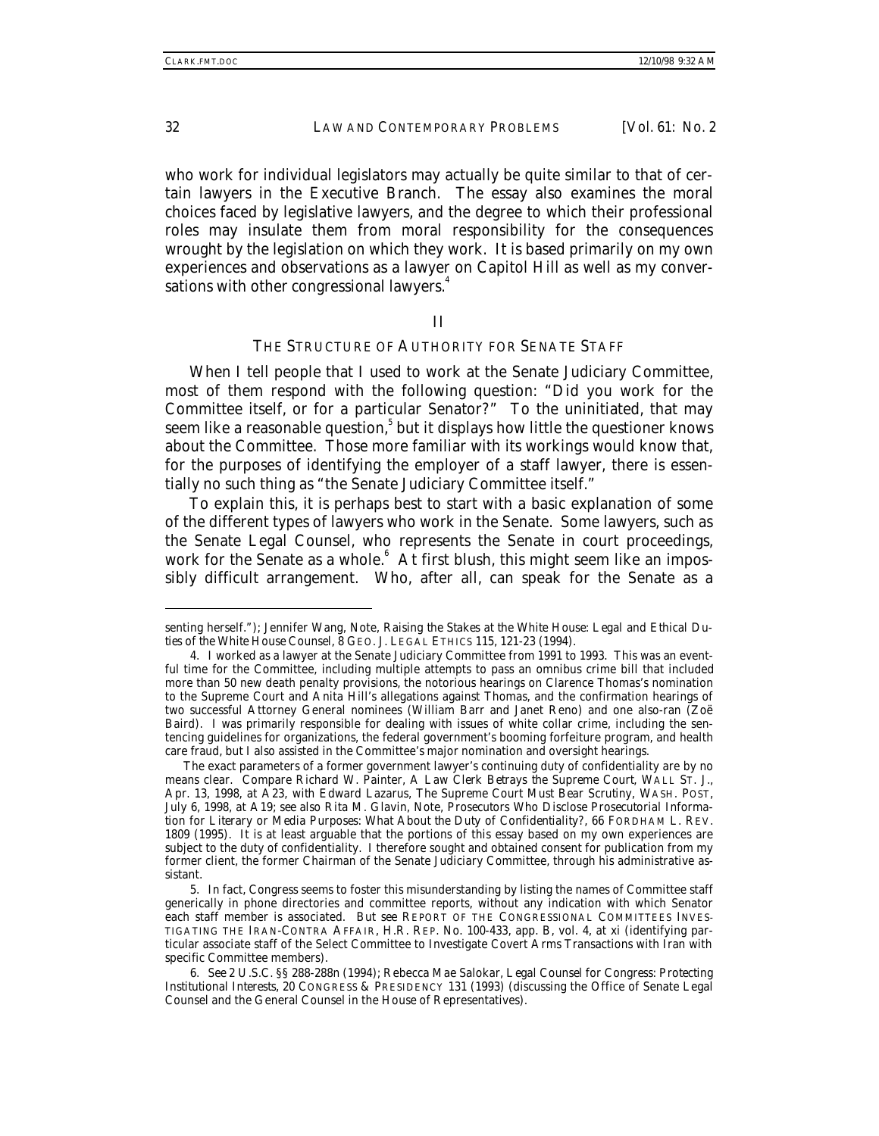who work for individual legislators may actually be quite similar to that of certain lawyers in the Executive Branch. The essay also examines the moral choices faced by legislative lawyers, and the degree to which their professional roles may insulate them from moral responsibility for the consequences wrought by the legislation on which they work. It is based primarily on my own experiences and observations as a lawyer on Capitol Hill as well as my conversations with other congressional lawyers.<sup>4</sup>

#### II

# THE STRUCTURE OF AUTHORITY FOR SENATE STAFF

When I tell people that I used to work at the Senate Judiciary Committee, most of them respond with the following question: "Did you work for the Committee itself, or for a particular Senator?" To the uninitiated, that may seem like a reasonable question, $^5$  but it displays how little the questioner knows about the Committee. Those more familiar with its workings would know that, for the purposes of identifying the employer of a staff lawyer, there is essentially no such thing as "the Senate Judiciary Committee itself."

To explain this, it is perhaps best to start with a basic explanation of some of the different types of lawyers who work in the Senate. Some lawyers, such as the Senate Legal Counsel, who represents the Senate in court proceedings, work for the Senate as a whole.<sup>6</sup> At first blush, this might seem like an impossibly difficult arrangement. Who, after all, can speak for the Senate as a

senting herself."); Jennifer Wang, Note, *Raising the Stakes at the White House: Legal and Ethical Duties of the White House Counsel*, 8 GEO. J. LEGAL ETHICS 115, 121-23 (1994).

<sup>4.</sup> I worked as a lawyer at the Senate Judiciary Committee from 1991 to 1993. This was an eventful time for the Committee, including multiple attempts to pass an omnibus crime bill that included more than 50 new death penalty provisions, the notorious hearings on Clarence Thomas's nomination to the Supreme Court and Anita Hill's allegations against Thomas, and the confirmation hearings of two successful Attorney General nominees (William Barr and Janet Reno) and one also-ran (Zoë Baird). I was primarily responsible for dealing with issues of white collar crime, including the sentencing guidelines for organizations, the federal government's booming forfeiture program, and health care fraud, but I also assisted in the Committee's major nomination and oversight hearings.

The exact parameters of a former government lawyer's continuing duty of confidentiality are by no means clear. *Compare* Richard W. Painter, *A Law Clerk Betrays the Supreme Court*, WALL ST. J., Apr. 13, 1998, at A23, *with* Edward Lazarus, *The Supreme Court Must Bear Scrutiny*, WASH. POST, July 6, 1998, at A19; *see also* Rita M. Glavin, Note, *Prosecutors Who Disclose Prosecutorial Information for Literary or Media Purposes: What About the Duty of Confidentiality?*, 66 FORDHAM L. REV. 1809 (1995). It is at least arguable that the portions of this essay based on my own experiences are subject to the duty of confidentiality. I therefore sought and obtained consent for publication from my former client, the former Chairman of the Senate Judiciary Committee, through his administrative assistant.

<sup>5.</sup> In fact, Congress seems to foster this misunderstanding by listing the names of Committee staff generically in phone directories and committee reports, without any indication with which Senator each staff member is associated. *But see* REPORT OF THE CONGRESSIONAL COMMITTEES INVES-TIGATING THE IRAN-CONTRA AFFAIR, H.R. REP. No. 100-433, app. B, vol. 4, at xi (identifying particular associate staff of the Select Committee to Investigate Covert Arms Transactions with Iran with specific Committee members).

<sup>6</sup>*. See* 2 U.S.C. §§ 288-288n (1994); Rebecca Mae Salokar, *Legal Counsel for Congress: Protecting Institutional Interests*, 20 CONGRESS & PRESIDENCY 131 (1993) (discussing the Office of Senate Legal Counsel and the General Counsel in the House of Representatives).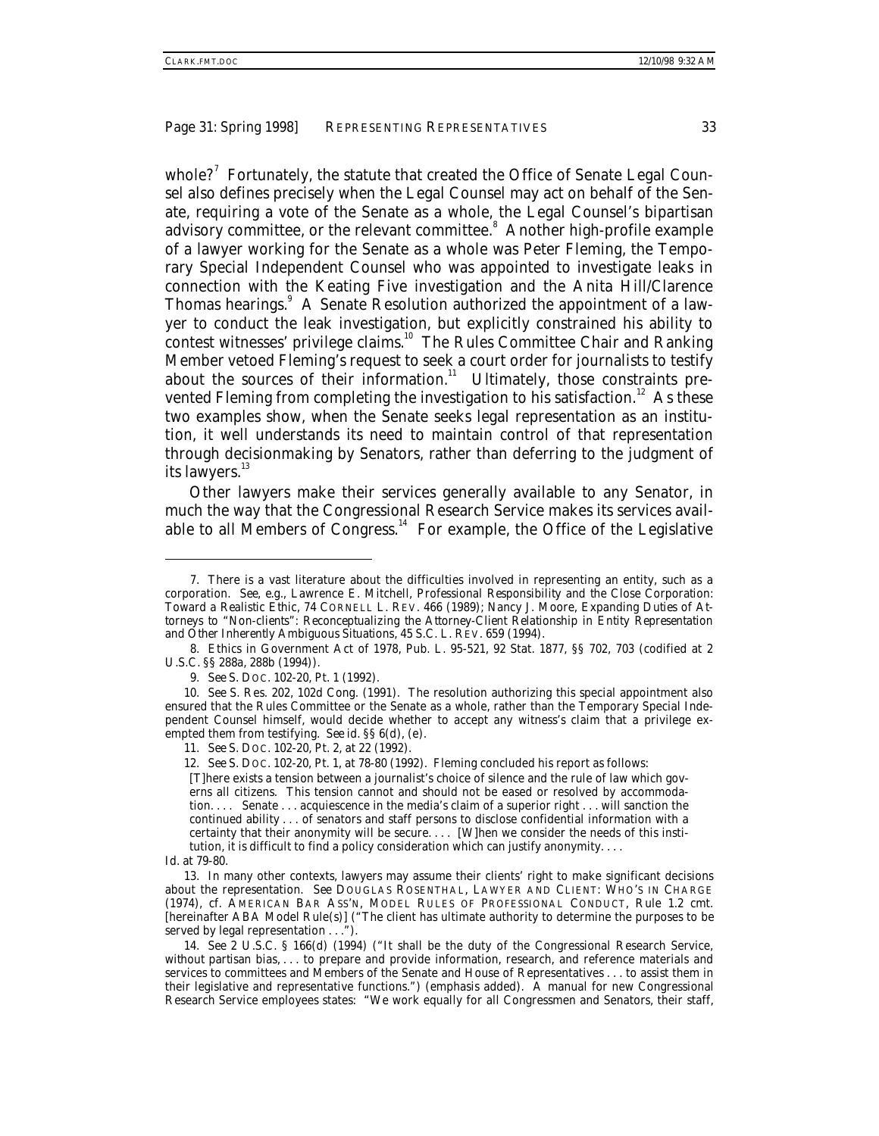whole?<sup>7</sup> Fortunately, the statute that created the Office of Senate Legal Counsel also defines precisely when the Legal Counsel may act on behalf of the Senate, requiring a vote of the Senate as a whole, the Legal Counsel's bipartisan advisory committee, or the relevant committee.<sup>8</sup> Another high-profile example of a lawyer working for the Senate as a whole was Peter Fleming, the Temporary Special Independent Counsel who was appointed to investigate leaks in connection with the Keating Five investigation and the Anita Hill/Clarence Thomas hearings.<sup>9</sup> A Senate Resolution authorized the appointment of a lawyer to conduct the leak investigation, but explicitly constrained his ability to contest witnesses' privilege claims.<sup>10</sup> The Rules Committee Chair and Ranking Member vetoed Fleming's request to seek a court order for journalists to testify about the sources of their information. $11$  Ultimately, those constraints prevented Fleming from completing the investigation to his satisfaction.<sup>12</sup> As these two examples show, when the Senate seeks legal representation as an institution, it well understands its need to maintain control of that representation through decisionmaking by Senators, rather than deferring to the judgment of its lawyers.<sup>13</sup>

Other lawyers make their services generally available to any Senator, in much the way that the Congressional Research Service makes its services available to all Members of Congress.<sup>14</sup> For example, the Office of the Legislative

<sup>7.</sup> There is a vast literature about the difficulties involved in representing an entity, such as a corporation. *See, e.g.*, Lawrence E. Mitchell, *Professional Responsibility and the Close Corporation: Toward a Realistic Ethic*, 74 CORNELL L. REV. 466 (1989); Nancy J. Moore, *Expanding Duties of Attorneys to "Non-clients": Reconceptualizing the Attorney-Client Relationship in Entity Representation and Other Inherently Ambiguous Situations*, 45 S.C. L. REV. 659 (1994).

<sup>8.</sup> Ethics in Government Act of 1978, Pub. L. 95-521, 92 Stat. 1877, §§ 702, 703 (codified at 2 U.S.C. §§ 288a, 288b (1994)).

<sup>9</sup>*. See* S. DOC. 102-20, Pt. 1 (1992).

<sup>10</sup>*. See* S. Res. 202, 102d Cong. (1991). The resolution authorizing this special appointment also ensured that the Rules Committee or the Senate as a whole, rather than the Temporary Special Independent Counsel himself, would decide whether to accept any witness's claim that a privilege exempted them from testifying. *See id*. §§ 6(d), (e).

<sup>11</sup>*. See* S. DOC. 102-20, Pt. 2, at 22 (1992).

<sup>12</sup>*. See* S. DOC. 102-20, Pt. 1, at 78-80 (1992). Fleming concluded his report as follows:

<sup>[</sup>T]here exists a tension between a journalist's choice of silence and the rule of law which governs all citizens. This tension cannot and should not be eased or resolved by accommodation. . . . Senate . . . acquiescence in the media's claim of a superior right . . . will sanction the continued ability . . . of senators and staff persons to disclose confidential information with a certainty that their anonymity will be secure. . . . [W]hen we consider the needs of this institution, it is difficult to find a policy consideration which can justify anonymity. . . .

*Id.* at 79-80.

<sup>13.</sup> In many other contexts, lawyers may assume their clients' right to make significant decisions about the representation. *See* DOUGLAS ROSENTHAL, LAWYER AND CLIENT: WHO'S IN CHARGE (1974), *cf.* AMERICAN BAR ASS'N, MODEL RULES OF PROFESSIONAL CONDUCT, Rule 1.2 cmt. [hereinafter ABA Model Rule(s)] ("The client has ultimate authority to determine the purposes to be served by legal representation . . .").

<sup>14</sup>*. See* 2 U.S.C. § 166(d) (1994) ("It shall be the duty of the Congressional Research Service, without partisan bias, . . . to prepare and provide information, research, and reference materials and services to committees and Members of the Senate and House of Representatives . . . to assist them in their legislative and representative functions.") (emphasis added). A manual for new Congressional Research Service employees states: "We work equally for *all* Congressmen and Senators, their staff,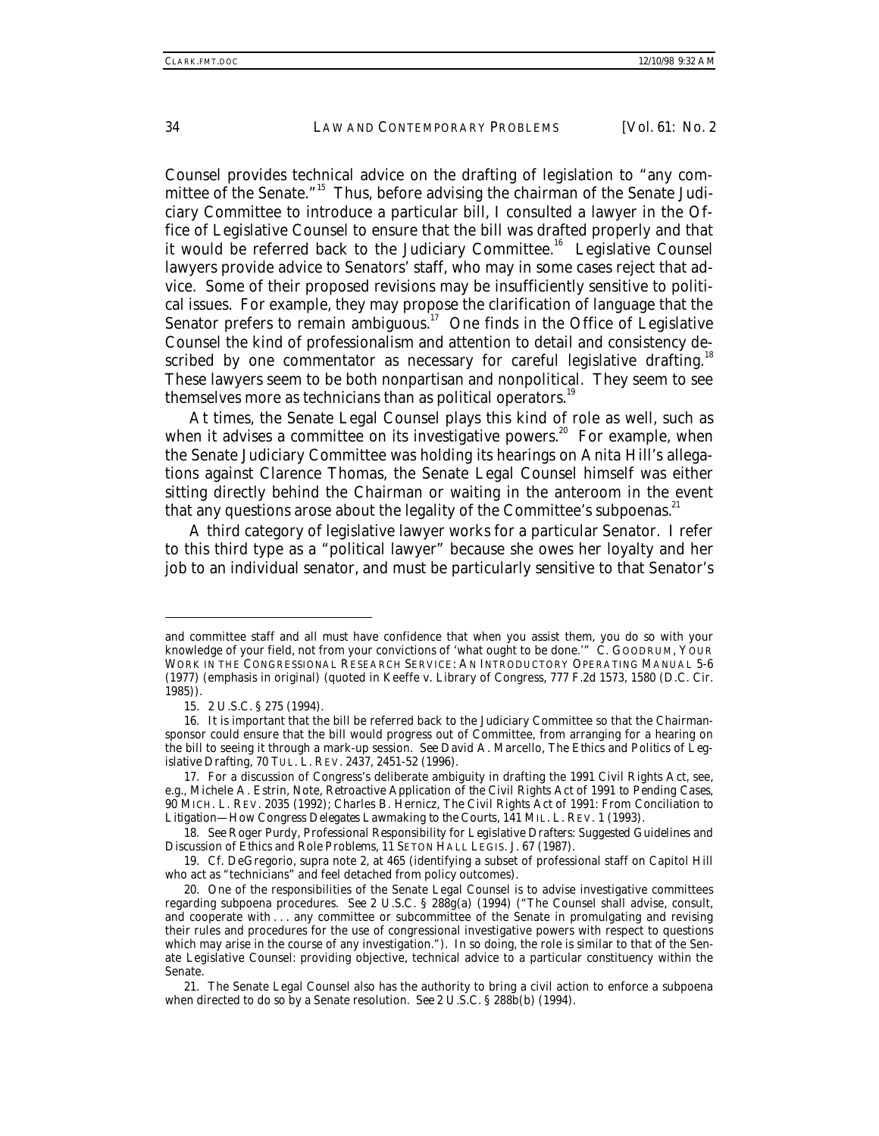Counsel provides technical advice on the drafting of legislation to "any committee of the Senate."15 Thus, before advising the chairman of the Senate Judiciary Committee to introduce a particular bill, I consulted a lawyer in the Office of Legislative Counsel to ensure that the bill was drafted properly and that it would be referred back to the Judiciary Committee.<sup>16</sup> Legislative Counsel lawyers provide advice to Senators' staff, who may in some cases reject that advice. Some of their proposed revisions may be insufficiently sensitive to political issues. For example, they may propose the clarification of language that the Senator prefers to remain ambiguous.<sup>17</sup> One finds in the Office of Legislative Counsel the kind of professionalism and attention to detail and consistency described by one commentator as necessary for careful legislative drafting.<sup>18</sup> These lawyers seem to be both nonpartisan and nonpolitical. They seem to see themselves more as technicians than as political operators.<sup>19</sup>

At times, the Senate Legal Counsel plays this kind of role as well, such as when it advises a committee on its investigative powers.<sup>20</sup> For example, when the Senate Judiciary Committee was holding its hearings on Anita Hill's allegations against Clarence Thomas, the Senate Legal Counsel himself was either sitting directly behind the Chairman or waiting in the anteroom in the event that any questions arose about the legality of the Committee's subpoenas.<sup>21</sup>

A third category of legislative lawyer works for a particular Senator. I refer to this third type as a "political lawyer" because she owes her loyalty and her job to an individual senator, and must be particularly sensitive to that Senator's

and committee staff and all must have confidence that when you assist them, you do so with your knowledge of your field, not from your convictions of 'what ought to be done.'" C. GOODRUM, YOUR WORK IN THE CONGRESSIONAL RESEARCH SERVICE: AN INTRODUCTORY OPERATING MANUAL 5-6 (1977) (emphasis in original) (quoted in Keeffe v. Library of Congress, 777 F.2d 1573, 1580 (D.C. Cir. 1985)).

<sup>15. 2</sup> U.S.C. § 275 (1994).

<sup>16.</sup> It is important that the bill be referred back to the Judiciary Committee so that the Chairmansponsor could ensure that the bill would progress out of Committee, from arranging for a hearing on the bill to seeing it through a mark-up session. *See* David A. Marcello, *The Ethics and Politics of Legislative Drafting*, 70 TUL. L. REV. 2437, 2451-52 (1996).

<sup>17.</sup> For a discussion of Congress's deliberate ambiguity in drafting the 1991 Civil Rights Act, see, e.g., Michele A. Estrin, Note, *Retroactive Application of the Civil Rights Act of 1991 to Pending Cases*, 90 MICH. L. REV. 2035 (1992); Charles B. Hernicz, *The Civil Rights Act of 1991: From Conciliation to Litigation—How Congress Delegates Lawmaking to the Courts*, 141 MIL. L. REV. 1 (1993).

<sup>18</sup>*. See* Roger Purdy, *Professional Responsibility for Legislative Drafters: Suggested Guidelines and Discussion of Ethics and Role Problems*, 11 SETON HALL LEGIS. J. 67 (1987).

<sup>19</sup>*. Cf.* DeGregorio, *supra* note 2, at 465 (identifying a subset of professional staff on Capitol Hill who act as "technicians" and feel detached from policy outcomes).

<sup>20.</sup> One of the responsibilities of the Senate Legal Counsel is to advise investigative committees regarding subpoena procedures. *See* 2 U.S.C. § 288g(a) (1994) ("The Counsel shall advise, consult, and cooperate with... any committee or subcommittee of the Senate in promulgating and revising their rules and procedures for the use of congressional investigative powers with respect to questions which may arise in the course of any investigation."). In so doing, the role is similar to that of the Senate Legislative Counsel: providing objective, technical advice to a particular constituency within the Senate.

<sup>21.</sup> The Senate Legal Counsel also has the authority to bring a civil action to enforce a subpoena when directed to do so by a Senate resolution. *See* 2 U.S.C. § 288b(b) (1994).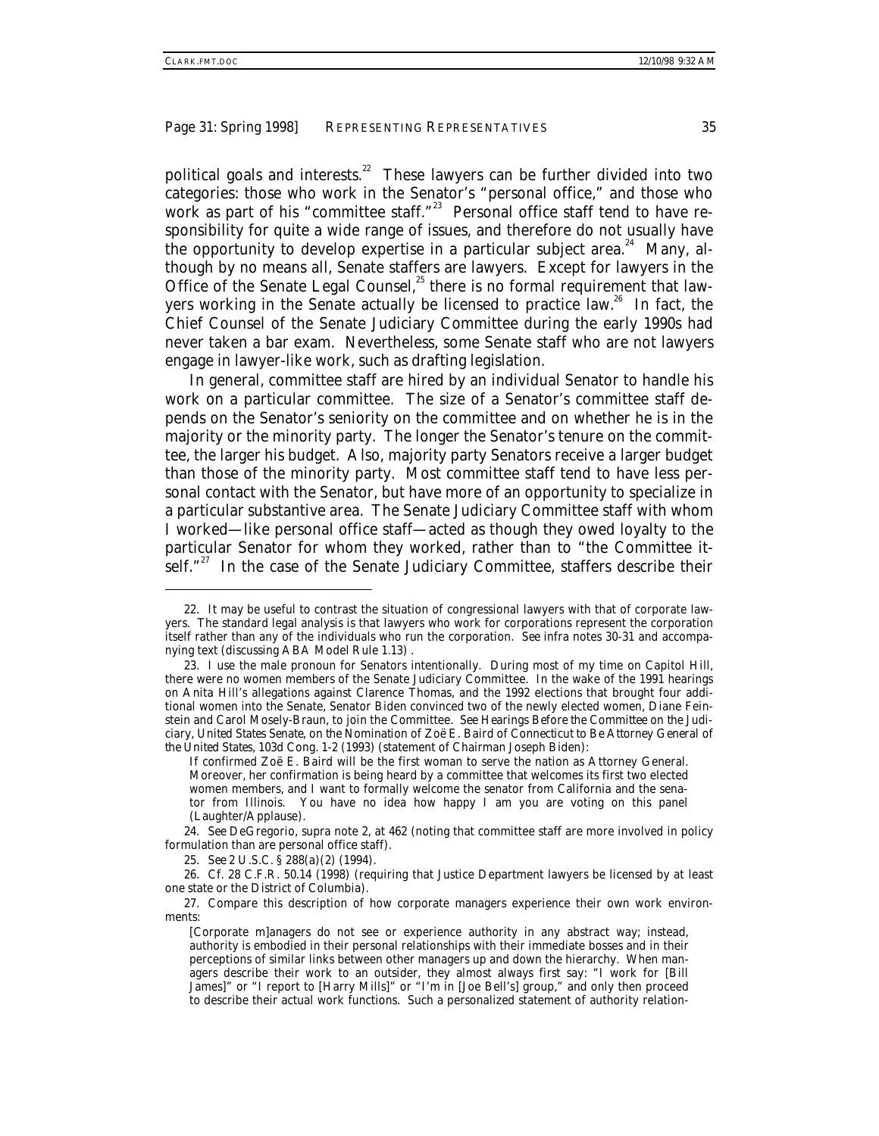political goals and interests.<sup>22</sup> These lawyers can be further divided into two categories: those who work in the Senator's "personal office," and those who work as part of his "committee staff."<sup>23</sup> Personal office staff tend to have responsibility for quite a wide range of issues, and therefore do not usually have the opportunity to develop expertise in a particular subject area.<sup>24</sup> Many, although by no means all, Senate staffers are lawyers. Except for lawyers in the Office of the Senate Legal Counsel,<sup>25</sup> there is no formal requirement that lawyers working in the Senate actually be licensed to practice law.<sup>26</sup> In fact, the Chief Counsel of the Senate Judiciary Committee during the early 1990s had never taken a bar exam. Nevertheless, some Senate staff who are not lawyers engage in lawyer-like work, such as drafting legislation.

In general, committee staff are hired by an individual Senator to handle his work on a particular committee. The size of a Senator's committee staff depends on the Senator's seniority on the committee and on whether he is in the majority or the minority party. The longer the Senator's tenure on the committee, the larger his budget. Also, majority party Senators receive a larger budget than those of the minority party. Most committee staff tend to have less personal contact with the Senator, but have more of an opportunity to specialize in a particular substantive area. The Senate Judiciary Committee staff with whom I worked—like personal office staff—acted as though they owed loyalty to the particular Senator for whom they worked, rather than to "the Committee itself."<sup>27</sup> In the case of the Senate Judiciary Committee, staffers describe their

25*. See* 2 U.S.C. § 288(a)(2) (1994).

-

26*. Cf.* 28 C.F.R. 50.14 (1998) (requiring that Justice Department lawyers be licensed by at least one state or the District of Columbia).

27. Compare this description of how corporate managers experience their own work environments:

<sup>22.</sup> It may be useful to contrast the situation of congressional lawyers with that of corporate lawyers. The standard legal analysis is that lawyers who work for corporations represent the corporation itself rather than any of the individuals who run the corporation. *See infra* notes 30-31 and accompanying text (discussing ABA Model Rule 1.13) .

<sup>23.</sup> I use the male pronoun for Senators intentionally. During most of my time on Capitol Hill, there were no women members of the Senate Judiciary Committee. In the wake of the 1991 hearings on Anita Hill's allegations against Clarence Thomas, and the 1992 elections that brought four additional women into the Senate, Senator Biden convinced two of the newly elected women, Diane Feinstein and Carol Mosely-Braun, to join the Committee. *See Hearings Before the Committee on the Judiciary, United States Senate, on the Nomination of Zoë E. Baird of Connecticut to Be Attorney General of the United States*, 103d Cong. 1-2 (1993) (statement of Chairman Joseph Biden):

If confirmed Zoë E. Baird will be the first woman to serve the nation as Attorney General. Moreover, her confirmation is being heard by a committee that welcomes its first two elected women members, and I want to formally welcome the senator from California and the senator from Illinois. You have no idea how happy I am you are voting on this panel (Laughter/Applause).

<sup>24</sup>*. See* DeGregorio*, supra* note 2, at 462 (noting that committee staff are more involved in policy formulation than are personal office staff).

<sup>[</sup>Corporate m]anagers do not see or experience authority in any abstract way; instead, authority is embodied in their personal relationships with their immediate bosses and in their perceptions of similar links between other managers up and down the hierarchy. When managers describe their work to an outsider, they almost always first say: "I work for [Bill James]" or "I report to [Harry Mills]" or "I'm in [Joe Bell's] group," and only then proceed to describe their actual work functions. Such a personalized statement of authority relation-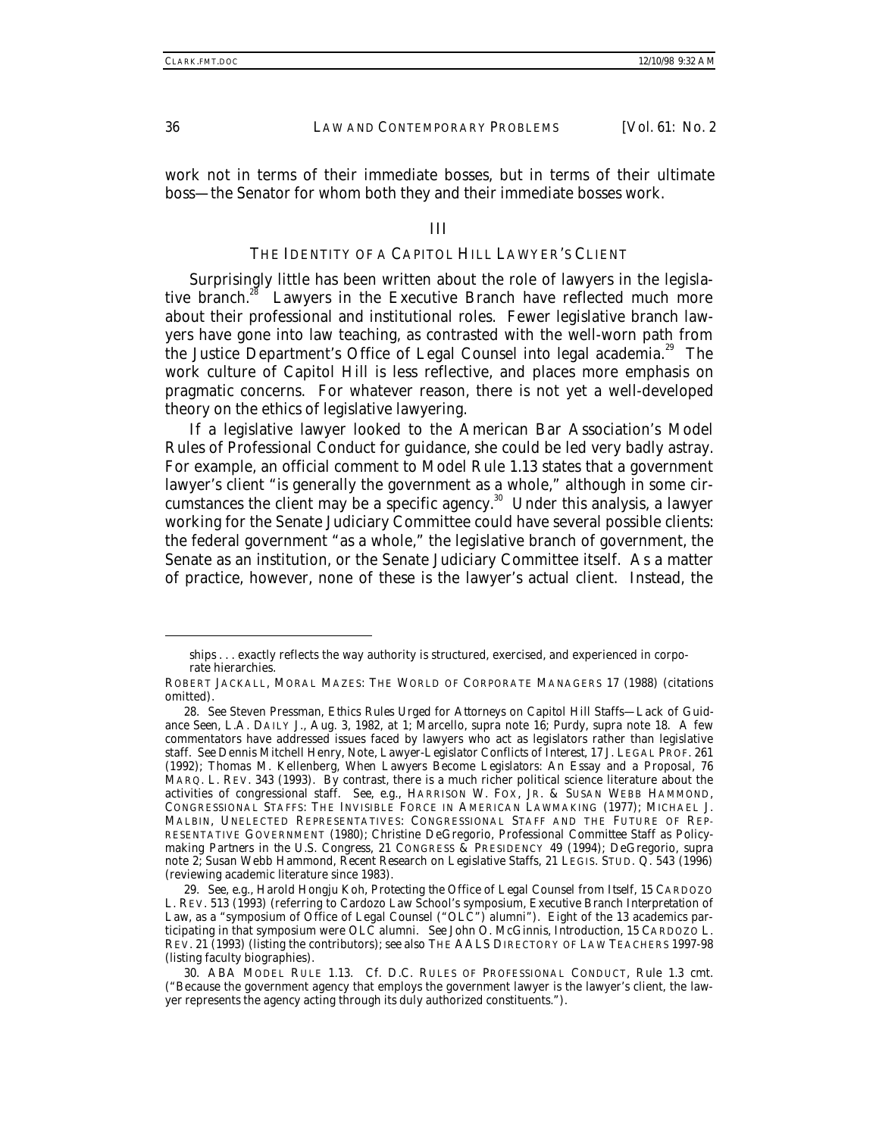work not in terms of their immediate bosses, but in terms of their ultimate boss—the Senator for whom both they and their immediate bosses work.

#### III

# THE IDENTITY OF A CAPITOL HILL LAWYER'S CLIENT

Surprisingly little has been written about the role of lawyers in the legislative branch.<sup>28</sup> Lawyers in the Executive Branch have reflected much more about their professional and institutional roles. Fewer legislative branch lawyers have gone into law teaching, as contrasted with the well-worn path from the Justice Department's Office of Legal Counsel into legal academia.<sup>29</sup> The work culture of Capitol Hill is less reflective, and places more emphasis on pragmatic concerns. For whatever reason, there is not yet a well-developed theory on the ethics of legislative lawyering.

If a legislative lawyer looked to the American Bar Association's Model Rules of Professional Conduct for guidance, she could be led very badly astray. For example, an official comment to Model Rule 1.13 states that a government lawyer's client "is generally the government as a whole," although in some circumstances the client may be a specific agency.<sup>30</sup> Under this analysis, a lawyer working for the Senate Judiciary Committee could have several possible clients: the federal government "as a whole," the legislative branch of government, the Senate as an institution, or the Senate Judiciary Committee itself. As a matter of practice, however, none of these is the lawyer's actual client. Instead, the

ships . . . exactly reflects the way authority is structured, exercised, and experienced in corporate hierarchies.

ROBERT JACKALL, MORAL MAZES: THE WORLD OF CORPORATE MANAGERS 17 (1988) (citations omitted).

<sup>28</sup>*. See* Steven Pressman, *Ethics Rules Urged for Attorneys on Capitol Hill Staffs—Lack of Guidance Seen*, L.A. DAILY J., Aug. 3, 1982, at 1; Marcello, *supra* note 16; Purdy, *supra* note 18. A few commentators have addressed issues faced by lawyers who act as legislators rather than legislative staff. *See* Dennis Mitchell Henry, Note, *Lawyer-Legislator Conflicts of Interest*, 17 J. LEGAL PROF. 261 (1992); Thomas M. Kellenberg, *When Lawyers Become Legislators: An Essay and a Proposal*, 76 MARQ. L. REV. 343 (1993). By contrast, there is a much richer political science literature about the activities of congressional staff. *See, e.g.*, HARRISON W. FOX, JR. & SUSAN WEBB HAMMOND, CONGRESSIONAL STAFFS: THE INVISIBLE FORCE IN AMERICAN LAWMAKING (1977); MICHAEL J. MALBIN, UNELECTED REPRESENTATIVES: CONGRESSIONAL STAFF AND THE FUTURE OF REP-RESENTATIVE GOVERNMENT (1980); Christine DeGregorio, *Professional Committee Staff as Policymaking Partners in the U.S. Congress*, 21 CONGRESS & PRESIDENCY 49 (1994); DeGregorio, *supra* note 2; Susan Webb Hammond, *Recent Research on Legislative Staffs*, 21 LEGIS. STUD. Q. 543 (1996) (reviewing academic literature since 1983).

<sup>29</sup>*. See, e.g.*, Harold Hongju Koh, *Protecting the Office of Legal Counsel from Itself*, 15 CARDOZO L. REV. 513 (1993) (referring to Cardozo Law School's symposium, *Executive Branch Interpretation of* Law, as a "symposium of Office of Legal Counsel ("OLC") alumni"). Eight of the 13 academics participating in that symposium were OLC alumni. *See* John O. McGinnis, *Introduction*, 15 CARDOZO L. REV. 21 (1993) (listing the contributors); *see also* THE AALS DIRECTORY OF LAW TEACHERS 1997-98 (listing faculty biographies).

<sup>30.</sup> ABA MODEL RULE 1.13. *Cf.* D.C. RULES OF PROFESSIONAL CONDUCT, Rule 1.3 cmt. ("Because the government agency that employs the government lawyer is the lawyer's client, the lawyer represents the agency acting through its duly authorized constituents.").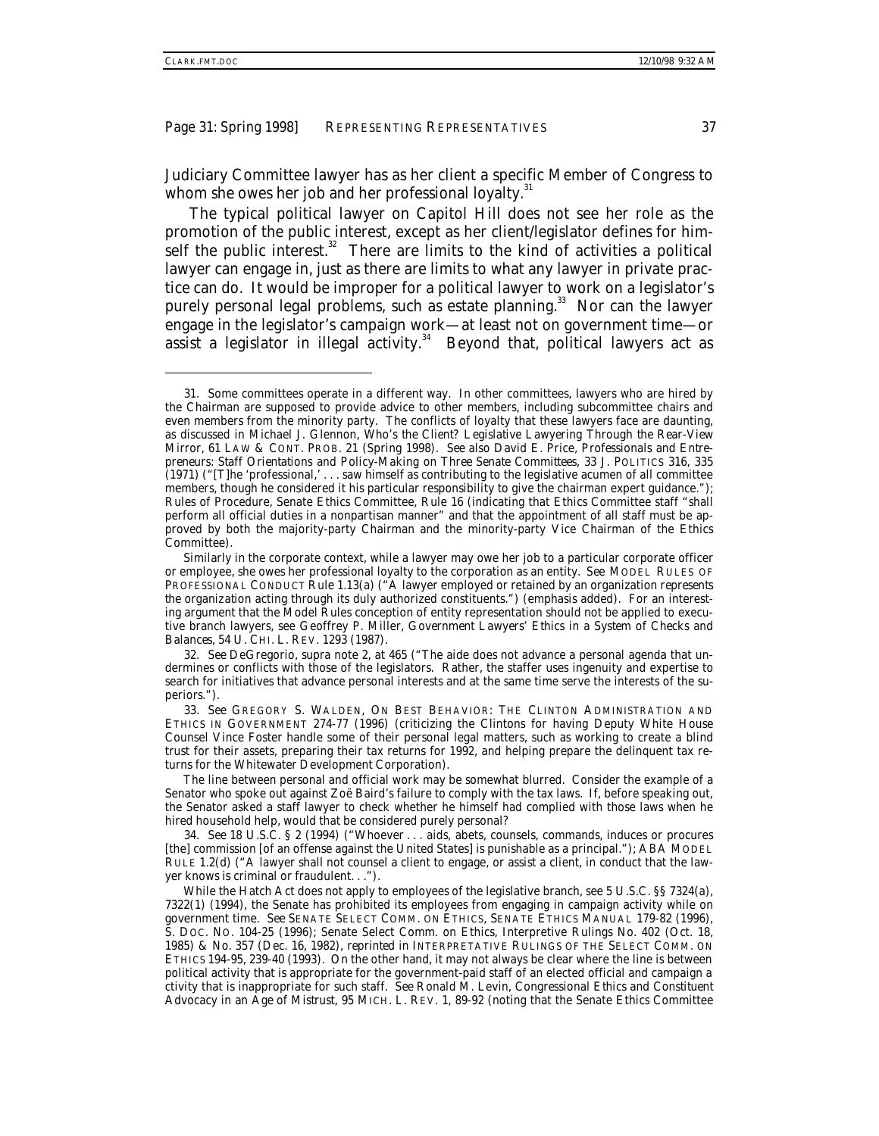-

Judiciary Committee lawyer has as her client a specific Member of Congress to whom she owes her job and her professional loyalty.<sup>31</sup>

The typical political lawyer on Capitol Hill does not see her role as the promotion of the public interest, except as her client/legislator defines for himself the public interest. $32$  There are limits to the kind of activities a political lawyer can engage in, just as there are limits to what any lawyer in private practice can do. It would be improper for a political lawyer to work on a legislator's purely personal legal problems, such as estate planning.<sup>33</sup> Nor can the lawyer engage in the legislator's campaign work—at least not on government time—or assist a legislator in illegal activity. $34$  Beyond that, political lawyers act as

<sup>31.</sup> Some committees operate in a different way. In other committees, lawyers who are hired by the Chairman are supposed to provide advice to other members, including subcommittee chairs and even members from the minority party. The conflicts of loyalty that these lawyers face are daunting, as discussed in Michael J. Glennon, *Who's the Client? Legislative Lawyering Through the Rear-View Mirror*, 61 LAW & CONT. PROB. 21 (Spring 1998). *See also* David E. Price, *Professionals and Entrepreneurs: Staff Orientations and Policy-Making on Three Senate Committees*, 33 J. POLITICS 316, 335 (1971) ("[T]he 'professional,' . . . saw himself as contributing to the legislative acumen of all committee members, though he considered it his particular responsibility to give the chairman expert guidance."); Rules of Procedure, Senate Ethics Committee, Rule 16 (indicating that Ethics Committee staff "shall perform all official duties in a nonpartisan manner" and that the appointment of all staff must be approved by both the majority-party Chairman and the minority-party Vice Chairman of the Ethics Committee).

Similarly in the corporate context, while a lawyer may owe her job to a particular corporate officer or employee, she owes her professional loyalty to the corporation as an entity. *See* MODEL RULES OF PROFESSIONAL CONDUCT Rule 1.13(a) ("A lawyer employed or retained by an organization *represents the organization* acting through its duly authorized constituents.") (emphasis added). For an interesting argument that the Model Rules conception of entity representation should not be applied to executive branch lawyers, see Geoffrey P. Miller, *Government Lawyers' Ethics in a System of Checks and Balances*, 54 U. CHI. L. REV. 1293 (1987).

<sup>32</sup>*. See* DeGregorio, *supra* note 2, at 465 ("The aide does not advance a personal agenda that undermines or conflicts with those of the legislators. Rather, the staffer uses ingenuity and expertise to search for initiatives that advance personal interests and at the same time serve the interests of the superiors.").

<sup>33</sup>*. See* GREGORY S. WALDEN, ON BEST BEHAVIOR: THE CLINTON ADMINISTRATION AND ETHICS IN GOVERNMENT 274-77 (1996) (criticizing the Clintons for having Deputy White House Counsel Vince Foster handle some of their personal legal matters, such as working to create a blind trust for their assets, preparing their tax returns for 1992, and helping prepare the delinquent tax returns for the Whitewater Development Corporation).

The line between personal and official work may be somewhat blurred. Consider the example of a Senator who spoke out against Zoë Baird's failure to comply with the tax laws. If, before speaking out, the Senator asked a staff lawyer to check whether he himself had complied with those laws when he hired household help, would that be considered purely personal?

<sup>34</sup>*. See* 18 U.S.C. § 2 (1994) ("Whoever . . . aids, abets, counsels, commands, induces or procures [the] commission [of an offense against the United States] is punishable as a principal."); ABA MODEL RULE 1.2(d) ("A lawyer shall not counsel a client to engage, or assist a client, in conduct that the lawyer knows is criminal or fraudulent. . .").

While the Hatch Act does not apply to employees of the legislative branch, see 5 U.S.C. §§ 7324(a), 7322(1) (1994), the Senate has prohibited its employees from engaging in campaign activity while on government time. *See* SENATE SELECT COMM. ON ETHICS, SENATE ETHICS MANUAL 179-82 (1996), S. DOC. NO. 104-25 (1996); Senate Select Comm. on Ethics, Interpretive Rulings No. 402 (Oct. 18, 1985) & No. 357 (Dec. 16, 1982), *reprinted in* INTERPRETATIVE RULINGS OF THE SELECT COMM. ON ETHICS 194-95, 239-40 (1993). On the other hand, it may not always be clear where the line is between political activity that is appropriate for the government-paid staff of an elected official and campaign a ctivity that is inappropriate for such staff. *See* Ronald M. Levin, *Congressional Ethics and Constituent Advocacy in an Age of Mistrust*, 95 MICH. L. REV. 1, 89-92 (noting that the Senate Ethics Committee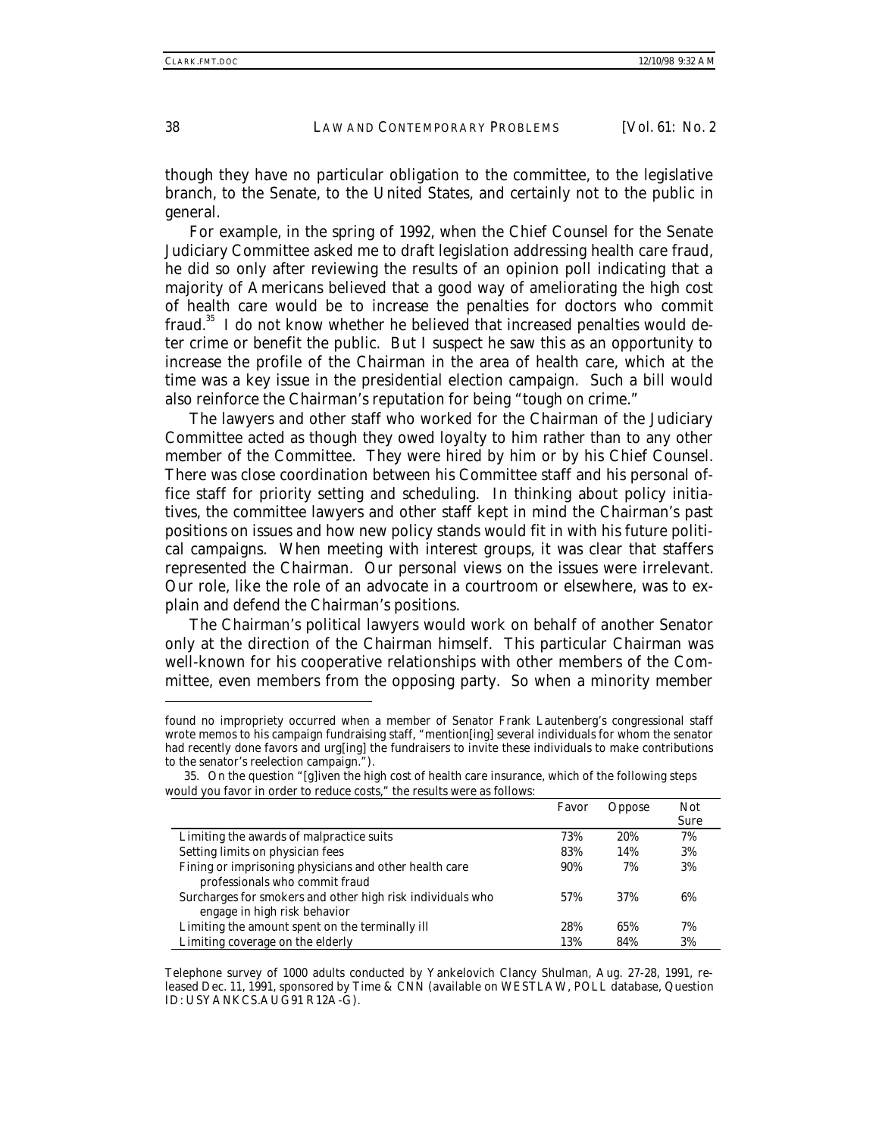though they have no particular obligation to the committee, to the legislative branch, to the Senate, to the United States, and certainly not to the public in general.

For example, in the spring of 1992, when the Chief Counsel for the Senate Judiciary Committee asked me to draft legislation addressing health care fraud, he did so only after reviewing the results of an opinion poll indicating that a majority of Americans believed that a good way of ameliorating the high cost of health care would be to increase the penalties for doctors who commit fraud.35 I do not know whether he believed that increased penalties would deter crime or benefit the public. But I suspect he saw this as an opportunity to increase the profile of the Chairman in the area of health care, which at the time was a key issue in the presidential election campaign. Such a bill would also reinforce the Chairman's reputation for being "tough on crime."

The lawyers and other staff who worked for the Chairman of the Judiciary Committee acted as though they owed loyalty to him rather than to any other member of the Committee. They were hired by him or by his Chief Counsel. There was close coordination between his Committee staff and his personal office staff for priority setting and scheduling. In thinking about policy initiatives, the committee lawyers and other staff kept in mind the Chairman's past positions on issues and how new policy stands would fit in with his future political campaigns. When meeting with interest groups, it was clear that staffers represented the Chairman. Our personal views on the issues were irrelevant. Our role, like the role of an advocate in a courtroom or elsewhere, was to explain and defend the Chairman's positions.

The Chairman's political lawyers would work on behalf of another Senator only at the direction of the Chairman himself. This particular Chairman was well-known for his cooperative relationships with other members of the Committee, even members from the opposing party. So when a minority member

found no impropriety occurred when a member of Senator Frank Lautenberg's congressional staff wrote memos to his campaign fundraising staff, "mention[ing] several individuals for whom the senator had recently done favors and urg[ing] the fundraisers to invite these individuals to make contributions to the senator's reelection campaign.").

|                                                            | Favor | Oppose | <b>Not</b><br><b>Sure</b> |
|------------------------------------------------------------|-------|--------|---------------------------|
| Limiting the awards of malpractice suits                   | 73%   | 20%    | 7%                        |
| Setting limits on physician fees                           | 83%   | 14%    | 3%                        |
| Fining or imprisoning physicians and other health care     | 90%   | 7%     | 3%                        |
| professionals who commit fraud                             |       |        |                           |
| Surcharges for smokers and other high risk individuals who | 57%   | 37%    | 6%                        |
| engage in high risk behavior                               |       |        |                           |
| Limiting the amount spent on the terminally ill            | 28%   | 65%    | 7%                        |
| Limiting coverage on the elderly                           | 13%   | 84%    | 3%                        |

<sup>35.</sup> On the question "[g]iven the high cost of health care insurance, which of the following steps would you favor in order to reduce costs," the results were as follows:

Telephone survey of 1000 adults conducted by Yankelovich Clancy Shulman, Aug. 27-28, 1991, released Dec. 11, 1991, sponsored by Time & CNN (available on WESTLAW, POLL database, Question ID: USYANKCS.AUG91 R12A-G).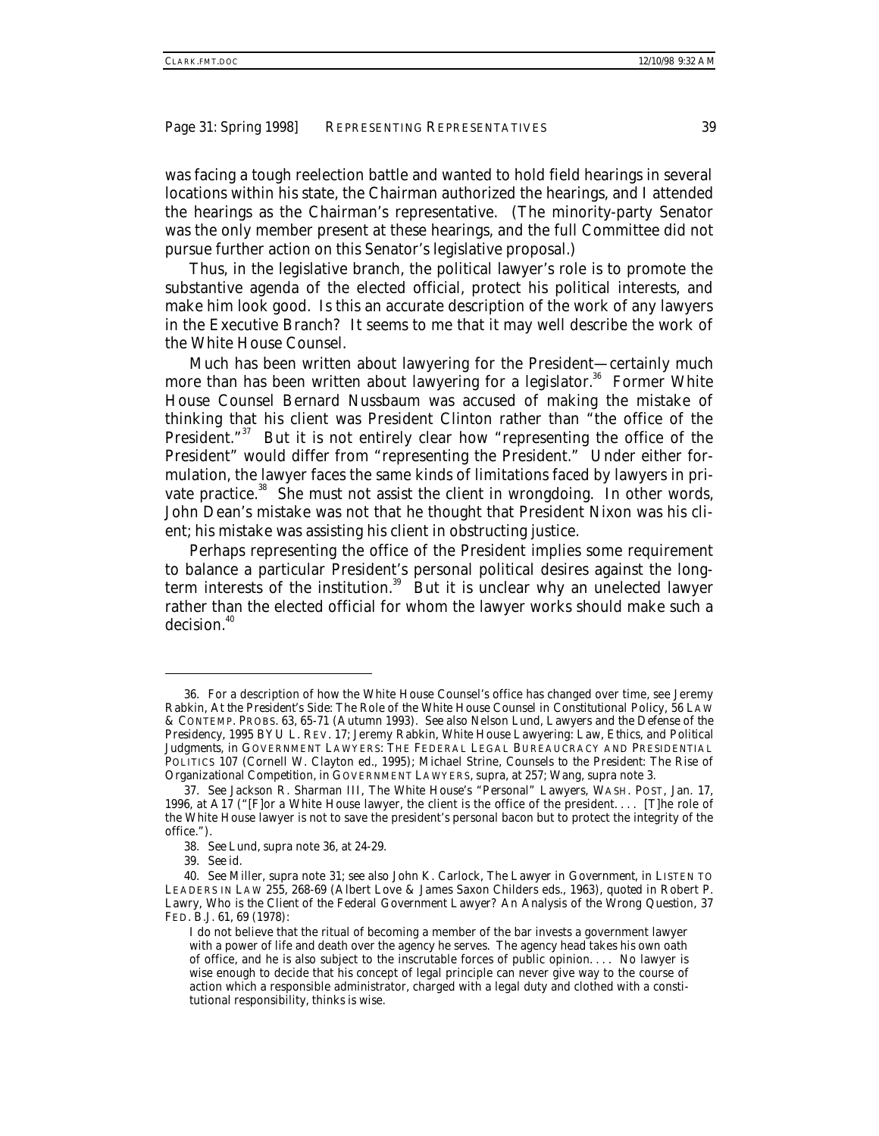was facing a tough reelection battle and wanted to hold field hearings in several locations within his state, the Chairman authorized the hearings, and I attended the hearings as the Chairman's representative. (The minority-party Senator was the only member present at these hearings, and the full Committee did not pursue further action on this Senator's legislative proposal.)

Thus, in the legislative branch, the political lawyer's role is to promote the substantive agenda of the elected official, protect his political interests, and make him look good. Is this an accurate description of the work of any lawyers in the Executive Branch? It seems to me that it may well describe the work of the White House Counsel.

Much has been written about lawyering for the President—certainly much more than has been written about lawyering for a legislator.<sup>36</sup> Former White House Counsel Bernard Nussbaum was accused of making the mistake of thinking that his client was President Clinton rather than "the office of the President."<sup>37</sup> But it is not entirely clear how "representing the office of the President" would differ from "representing the President." Under either formulation, the lawyer faces the same kinds of limitations faced by lawyers in private practice.<sup>38</sup> She must not assist the client in wrongdoing. In other words, John Dean's mistake was not that he thought that President Nixon was his client; his mistake was assisting his client in obstructing justice.

Perhaps representing the office of the President implies some requirement to balance a particular President's personal political desires against the longterm interests of the institution.<sup>39</sup> But it is unclear why an unelected lawyer rather than the elected official for whom the lawyer works should make such a decision.<sup>40</sup>

<sup>36.</sup> For a description of how the White House Counsel's office has changed over time, see Jeremy Rabkin, *At the President's Side: The Role of the White House Counsel in Constitutional Policy*, 56 LAW & CONTEMP. PROBS. 63, 65-71 (Autumn 1993). *See also* Nelson Lund, *Lawyers and the Defense of the Presidency*, 1995 BYU L. REV. 17; Jeremy Rabkin, *White House Lawyering: Law, Ethics, and Political Judgments*, *in* GOVERNMENT LAWYERS: THE FEDERAL LEGAL BUREAUCRACY AND PRESIDENTIAL POLITICS 107 (Cornell W. Clayton ed., 1995); Michael Strine, *Counsels to the President: The Rise of Organizational Competition*, *in* GOVERNMENT LAWYERS, *supra*, at 257; Wang, *supra* note 3.

<sup>37</sup>*. See* Jackson R. Sharman III, *The White House's "Personal" Lawyers*, WASH. POST, Jan. 17, 1996, at A17 ("[F]or a White House lawyer, the client is the office of the president. . . . [T]he role of the White House lawyer is not to save the president's personal bacon but to protect the integrity of the office.").

<sup>38</sup>*. See* Lund, *supra* note 36, at 24-29.

<sup>39</sup>*. See id*.

<sup>40</sup>*. See* Miller, *supra* note 31; *see also* John K. Carlock, *The Lawyer in Government*, *in* LISTEN TO LEADERS IN LAW 255, 268-69 (Albert Love & James Saxon Childers eds., 1963), *quoted in* Robert P. Lawry, *Who is the Client of the Federal Government Lawyer? An Analysis of the Wrong Question*, 37 FED. B.J. 61, 69 (1978):

I do not believe that the ritual of becoming a member of the bar invests a government lawyer with a power of life and death over the agency he serves. The agency head takes his own oath of office, and he is also subject to the inscrutable forces of public opinion. . . . No lawyer is wise enough to decide that his concept of legal principle can never give way to the course of action which a responsible administrator, charged with a legal duty and clothed with a constitutional responsibility, thinks is wise.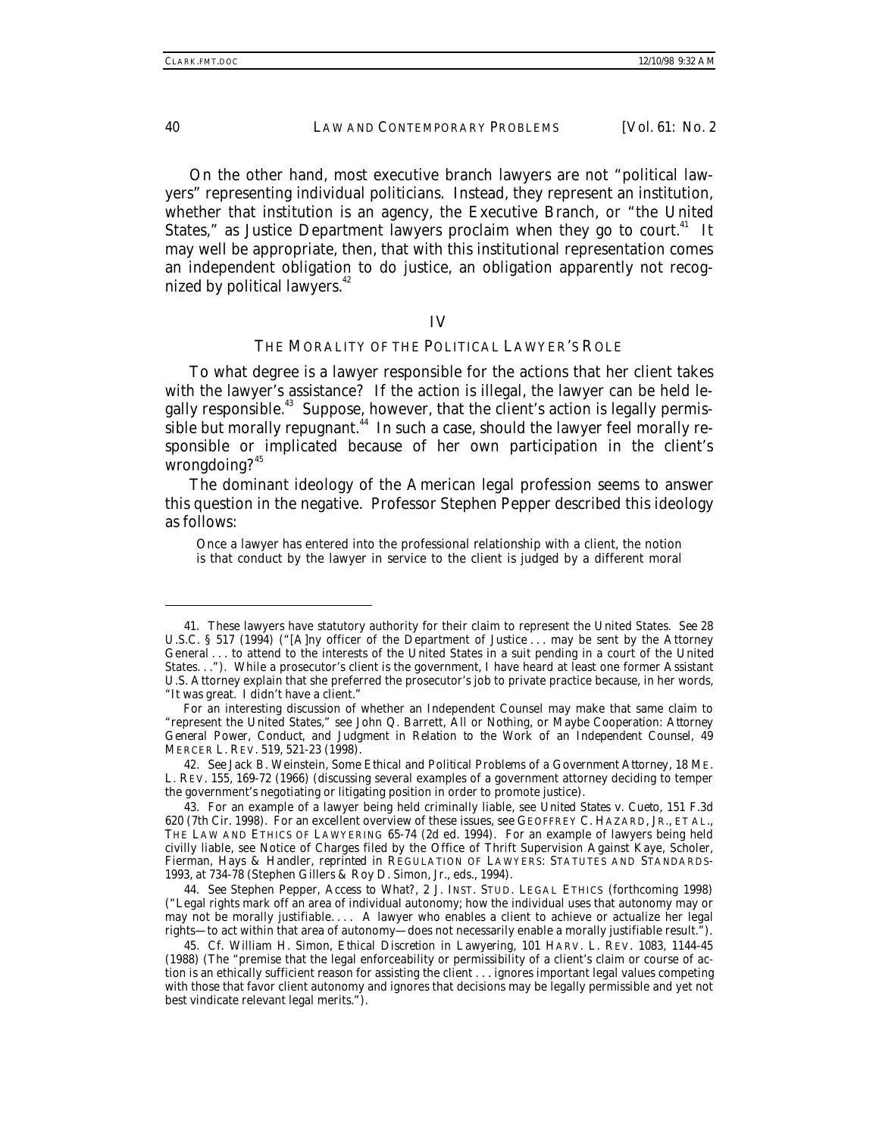On the other hand, most executive branch lawyers are not "political lawyers" representing individual politicians. Instead, they represent an institution, whether that institution is an agency, the Executive Branch, or "the United States," as Justice Department lawyers proclaim when they go to court. $41$  It may well be appropriate, then, that with this institutional representation comes an independent obligation to do justice, an obligation apparently not recognized by political lawyers.<sup>42</sup>

#### IV

## THE MORALITY OF THE POLITICAL LAWYER'S ROLE

To what degree is a lawyer responsible for the actions that her client takes with the lawyer's assistance? If the action is illegal, the lawyer can be held legally responsible.<sup>43</sup> Suppose, however, that the client's action is legally permissible but morally repugnant.<sup>44</sup> In such a case, should the lawyer feel morally responsible or implicated because of her own participation in the client's wrongdoing?<sup>45</sup>

The dominant ideology of the American legal profession seems to answer this question in the negative. Professor Stephen Pepper described this ideology as follows:

Once a lawyer has entered into the professional relationship with a client, the notion is that conduct by the lawyer in service to the client is judged by a different moral

42. *See* Jack B. Weinstein, *Some Ethical and Political Problems of a Government Attorney*, 18 ME. L. REV. 155, 169-72 (1966) (discussing several examples of a government attorney deciding to temper the government's negotiating or litigating position in order to promote justice).

<sup>41.</sup> These lawyers have statutory authority for their claim to represent the United States. *See* 28 U.S.C. § 517 (1994) ("[A]ny officer of the Department of Justice . . . may be sent by the Attorney General . . . to attend to the interests of the United States in a suit pending in a court of the United States. . ."). While a prosecutor's client is the government, I have heard at least one former Assistant U.S. Attorney explain that she preferred the prosecutor's job to private practice because, in her words, "It was great. I didn't have a client."

For an interesting discussion of whether an Independent Counsel may make that same claim to "represent the United States," see John Q. Barrett, *All or Nothing, or Maybe Cooperation: Attorney General Power, Conduct, and Judgment in Relation to the Work of an Independent Counsel*, 49 MERCER L. REV. 519, 521-23 (1998).

<sup>43.</sup> For an example of a lawyer being held criminally liable, see *United States v. Cueto*, 151 F.3d 620 (7th Cir. 1998). For an excellent overview of these issues, see GEOFFREY C. HAZARD, JR., ET AL., THE LAW AND ETHICS OF LAWYERING 65-74 (2d ed. 1994). For an example of lawyers being held civilly liable, see Notice of Charges filed by the Office of Thrift Supervision Against Kaye, Scholer, Fierman, Hays & Handler, *reprinted in* REGULATION OF LAWYERS: STATUTES AND STANDARDS-1993, at 734-78 (Stephen Gillers & Roy D. Simon, Jr., eds., 1994).

<sup>44</sup>*. See* Stephen Pepper, *Access to What?*, 2 J. INST. STUD. LEGAL ETHICS (forthcoming 1998) ("Legal rights mark off an area of individual autonomy; how the individual uses that autonomy may or may not be morally justifiable. . . . A lawyer who enables a client to achieve or actualize her legal rights—to act within that area of autonomy—does not necessarily enable a morally justifiable result.").

<sup>45</sup>*. Cf.* William H. Simon, *Ethical Discretion in Lawyering*, 101 HARV. L. REV. 1083, 1144-45 (1988) (The "premise that the legal enforceability or permissibility of a client's claim or course of action is an ethically sufficient reason for assisting the client . . . ignores important legal values competing with those that favor client autonomy and ignores that decisions may be legally permissible and yet not best vindicate relevant legal merits.").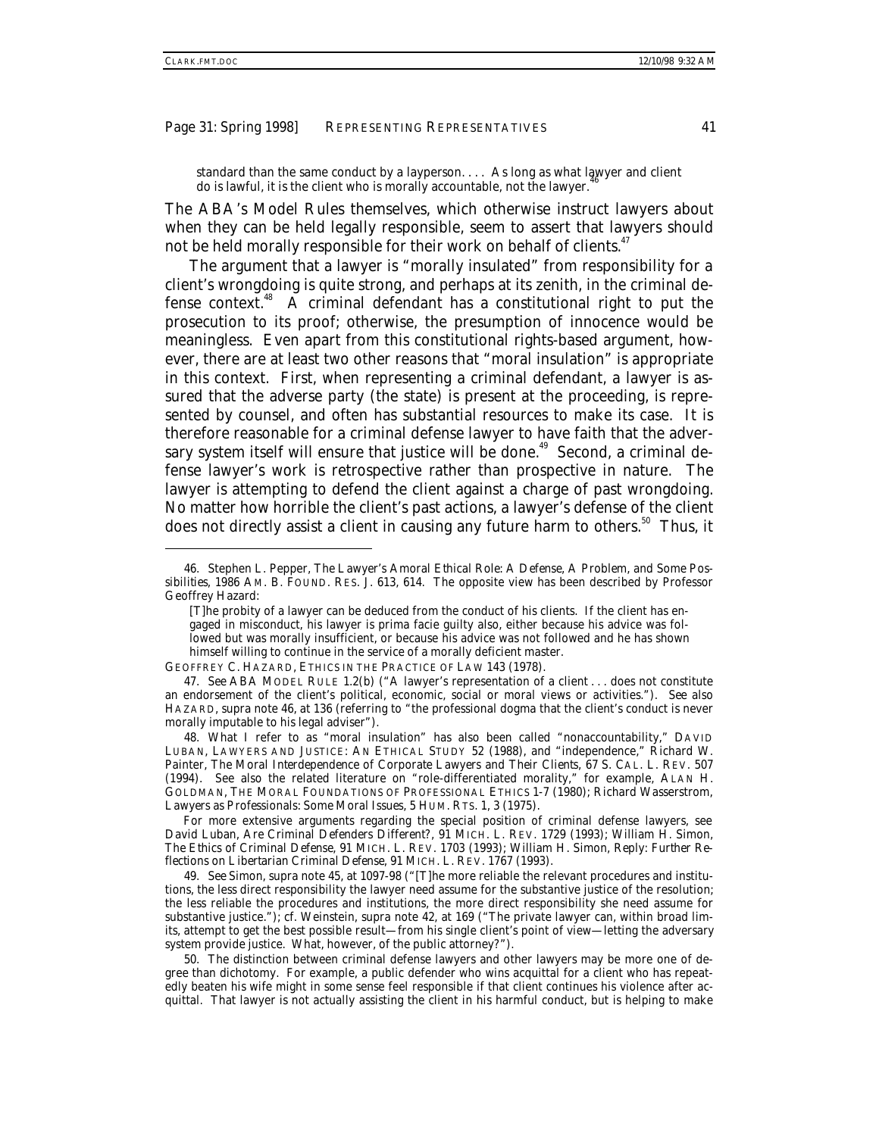standard than the same conduct by a layperson. . . . As long as what lawyer and client do is lawful, it is the client who is morally accountable, not the lawyer.

The ABA's Model Rules themselves, which otherwise instruct lawyers about when they can be held legally responsible, seem to assert that lawyers should not be held morally responsible for their work on behalf of clients.<sup>47</sup>

The argument that a lawyer is "morally insulated" from responsibility for a client's wrongdoing is quite strong, and perhaps at its zenith, in the criminal defense context. $48$  A criminal defendant has a constitutional right to put the prosecution to its proof; otherwise, the presumption of innocence would be meaningless. Even apart from this constitutional rights-based argument, however, there are at least two other reasons that "moral insulation" is appropriate in this context. First, when representing a criminal defendant, a lawyer is assured that the adverse party (the state) is present at the proceeding, is represented by counsel, and often has substantial resources to make its case. It is therefore reasonable for a criminal defense lawyer to have faith that the adversary system itself will ensure that justice will be done.<sup>49</sup> Second, a criminal defense lawyer's work is retrospective rather than prospective in nature. The lawyer is attempting to defend the client against a charge of past wrongdoing. No matter how horrible the client's past actions, a lawyer's defense of the client does not directly assist a client in causing any future harm to others.<sup>50</sup> Thus, it

<sup>46.</sup> Stephen L. Pepper, *The Lawyer's Amoral Ethical Role: A Defense, A Problem, and Some Possibilities*, 1986 AM. B. FOUND. RES. J. 613, 614. The opposite view has been described by Professor Geoffrey Hazard:

<sup>[</sup>T]he probity of a lawyer can be deduced from the conduct of his clients. If the client has engaged in misconduct, his lawyer is prima facie guilty also, either because his advice was followed but was morally insufficient, or because his advice was not followed and he has shown himself willing to continue in the service of a morally deficient master.

GEOFFREY C. HAZARD, ETHICS IN THE PRACTICE OF LAW 143 (1978).

<sup>47</sup>*. See* ABA MODEL RULE 1.2(b) ("A lawyer's representation of a client . . . does not constitute an endorsement of the client's political, economic, social or moral views or activities."). *See also* HAZARD, *supra* note 46, at 136 (referring to "the professional dogma that the client's conduct is never morally imputable to his legal adviser").

<sup>48.</sup> What I refer to as "moral insulation" has also been called "nonaccountability," DAVID LUBAN, LAWYERS AND JUSTICE: AN ETHICAL STUDY 52 (1988), and "independence," Richard W. Painter, *The Moral Interdependence of Corporate Lawyers and Their Clients*, 67 S. CAL. L. REV. 507 (1994). See also the related literature on "role-differentiated morality," for example, ALAN H. GOLDMAN, THE MORAL FOUNDATIONS OF PROFESSIONAL ETHICS 1-7 (1980); Richard Wasserstrom, *Lawyers as Professionals: Some Moral Issues*, 5 HUM. RTS. 1, 3 (1975).

For more extensive arguments regarding the special position of criminal defense lawyers, see David Luban, *Are Criminal Defenders Different?*, 91 MICH. L. REV. 1729 (1993); William H. Simon, *The Ethics of Criminal Defense*, 91 MICH. L. REV. 1703 (1993); William H. Simon, *Reply: Further Reflections on Libertarian Criminal Defense*, 91 MICH. L. REV. 1767 (1993).

<sup>49</sup>*. See* Simon, *supra* note 45, at 1097-98 ("[T]he more reliable the relevant procedures and institutions, the less direct responsibility the lawyer need assume for the substantive justice of the resolution; the less reliable the procedures and institutions, the more direct responsibility she need assume for substantive justice."); *cf.* Weinstein, *supra* note 42, at 169 ("The private lawyer can, within broad limits, attempt to get the best possible result—from his single client's point of view—letting the adversary system provide justice. What, however, of the public attorney?").

<sup>50.</sup> The distinction between criminal defense lawyers and other lawyers may be more one of degree than dichotomy. For example, a public defender who wins acquittal for a client who has repeatedly beaten his wife might in some sense feel responsible if that client continues his violence after acquittal. That lawyer is not actually assisting the client in his harmful conduct, but is helping to make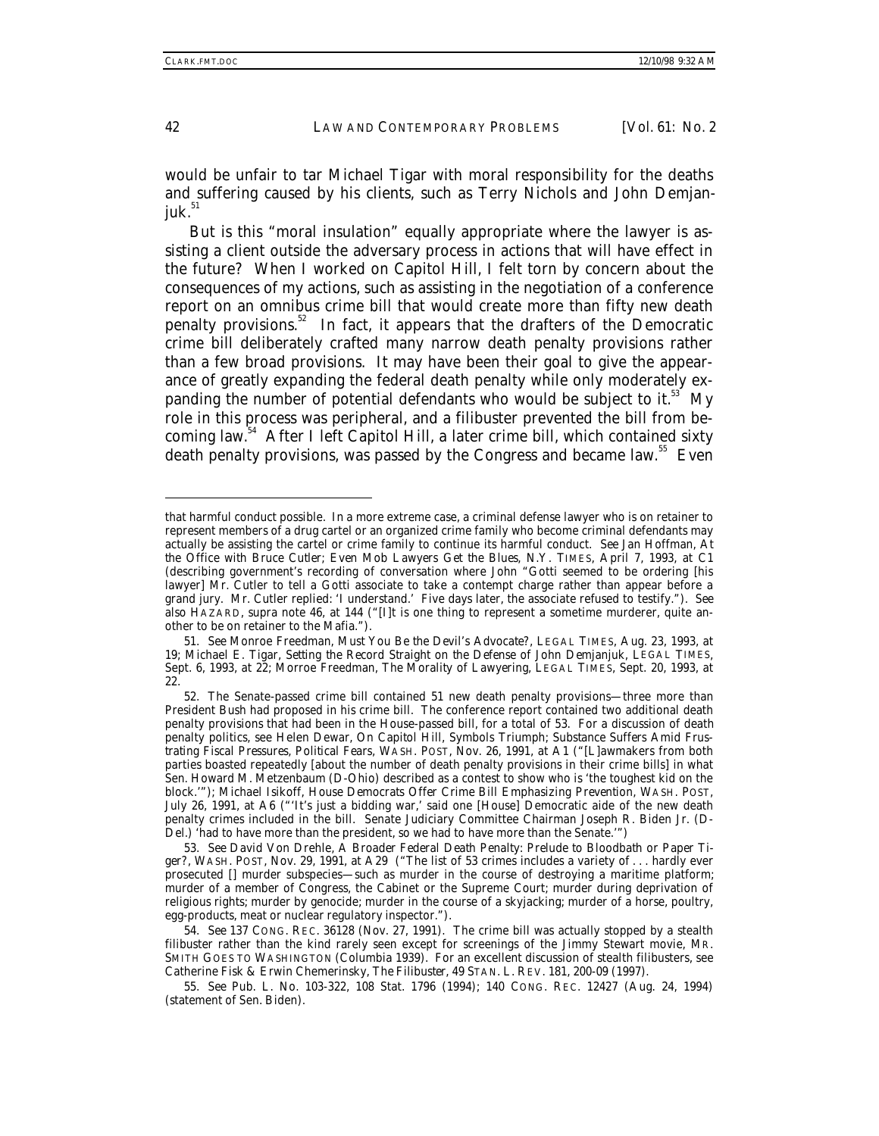would be unfair to tar Michael Tigar with moral responsibility for the deaths and suffering caused by his clients, such as Terry Nichols and John Demjanjuk. $51$ 

But is this "moral insulation" equally appropriate where the lawyer is assisting a client outside the adversary process in actions that will have effect in the future? When I worked on Capitol Hill, I felt torn by concern about the consequences of my actions, such as assisting in the negotiation of a conference report on an omnibus crime bill that would create more than fifty new death penalty provisions.<sup>52</sup> In fact, it appears that the drafters of the Democratic crime bill deliberately crafted many narrow death penalty provisions rather than a few broad provisions. It may have been their goal to give the appearance of greatly expanding the federal death penalty while only moderately expanding the number of potential defendants who would be subject to it. $53$  My role in this process was peripheral, and a filibuster prevented the bill from becoming law.54 After I left Capitol Hill, a later crime bill, which contained sixty death penalty provisions, was passed by the Congress and became law.<sup>55</sup> Even

that harmful conduct possible. In a more extreme case, a criminal defense lawyer who is on retainer to represent members of a drug cartel or an organized crime family who become criminal defendants may actually be assisting the cartel or crime family to continue its harmful conduct. *See* Jan Hoffman, *At the Office with Bruce Cutler; Even Mob Lawyers Get the Blues*, N.Y. TIMES, April 7, 1993, at C1 (describing government's recording of conversation where John "Gotti seemed to be ordering [his lawyer] Mr. Cutler to tell a Gotti associate to take a contempt charge rather than appear before a grand jury. Mr. Cutler replied: 'I understand.' Five days later, the associate refused to testify."). *See also* HAZARD, *supra* note 46, at 144 ("[I]t is one thing to represent a sometime murderer, quite another to be on retainer to the Mafia.").

<sup>51</sup>*. See* Monroe Freedman, *Must You Be the Devil's Advocate?*, LEGAL TIMES, Aug. 23, 1993, at 19; Michael E. Tigar, *Setting the Record Straight on the Defense of John Demjanjuk*, LEGAL TIMES, Sept. 6, 1993, at 22; Morroe Freedman, *The Morality of Lawyering*, LEGAL TIMES, Sept. 20, 1993, at 22.

<sup>52.</sup> The Senate-passed crime bill contained 51 new death penalty provisions—three more than President Bush had proposed in his crime bill. The conference report contained two additional death penalty provisions that had been in the House-passed bill, for a total of 53. For a discussion of death penalty politics, see Helen Dewar, *On Capitol Hill, Symbols Triumph; Substance Suffers Amid Frustrating Fiscal Pressures, Political Fears*, WASH. POST, Nov. 26, 1991, at A1 ("[L]awmakers from both parties boasted repeatedly [about the number of death penalty provisions in their crime bills] in what Sen. Howard M. Metzenbaum (D-Ohio) described as a contest to show who is 'the toughest kid on the block.'"); Michael Isikoff, *House Democrats Offer Crime Bill Emphasizing Prevention*, WASH. POST, July 26, 1991, at A6 ("'It's just a bidding war,' said one [House] Democratic aide of the new death penalty crimes included in the bill. Senate Judiciary Committee Chairman Joseph R. Biden Jr. (D-Del.) 'had to have more than the president, so we had to have more than the Senate.'")

<sup>53</sup>*. See* David Von Drehle, *A Broader Federal Death Penalty: Prelude to Bloodbath or Paper Tiger?*, WASH. POST, Nov. 29, 1991, at A29 ("The list of 53 crimes includes a variety of . . . hardly ever prosecuted [] murder subspecies—such as murder in the course of destroying a maritime platform; murder of a member of Congress, the Cabinet or the Supreme Court; murder during deprivation of religious rights; murder by genocide; murder in the course of a skyjacking; murder of a horse, poultry, egg-products, meat or nuclear regulatory inspector.").

<sup>54</sup>*. See* 137 CONG. REC. 36128 (Nov. 27, 1991). The crime bill was actually stopped by a stealth filibuster rather than the kind rarely seen except for screenings of the Jimmy Stewart movie, MR. SMITH GOES TO WASHINGTON (Columbia 1939). For an excellent discussion of stealth filibusters, see Catherine Fisk & Erwin Chemerinsky, *The Filibuster*, 49 STAN. L. REV. 181, 200-09 (1997).

<sup>55</sup>*. See* Pub. L. No. 103-322, 108 Stat. 1796 (1994); 140 CONG. REC. 12427 (Aug. 24, 1994) (statement of Sen. Biden).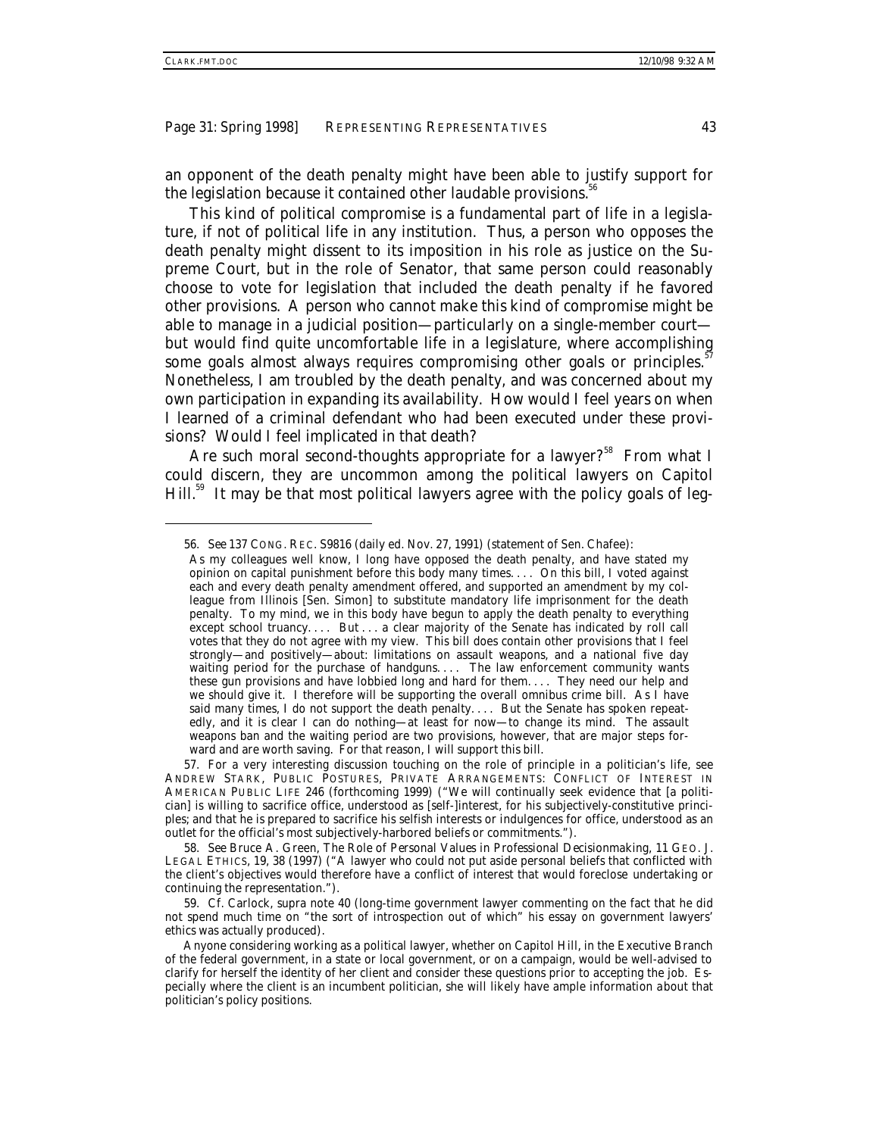an opponent of the death penalty might have been able to justify support for the legislation because it contained other laudable provisions.<sup>36</sup>

This kind of political compromise is a fundamental part of life in a legislature, if not of political life in any institution. Thus, a person who opposes the death penalty might dissent to its imposition in his role as justice on the Supreme Court, but in the role of Senator, that same person could reasonably choose to vote for legislation that included the death penalty if he favored other provisions. A person who cannot make this kind of compromise might be able to manage in a judicial position—particularly on a single-member court but would find quite uncomfortable life in a legislature, where accomplishing some goals almost always requires compromising other goals or principles.<sup>57</sup> Nonetheless, I am troubled by the death penalty, and was concerned about my own participation in expanding its availability. How would I feel years on when I learned of a criminal defendant who had been executed under these provisions? Would I feel implicated in that death?

Are such moral second-thoughts appropriate for a lawyer?<sup>58</sup> From what I could discern, they are uncommon among the political lawyers on Capitol Hill.<sup>59</sup> It may be that most political lawyers agree with the policy goals of leg-

-

57. For a very interesting discussion touching on the role of principle in a politician's life, see ANDREW STARK, PUBLIC POSTURES, PRIVATE ARRANGEMENTS: CONFLICT OF INTEREST IN AMERICAN PUBLIC LIFE 246 (forthcoming 1999) ("We will continually seek evidence that [a politician] is willing to sacrifice office, understood as [self-]interest, for his subjectively-constitutive principles; and that he is prepared to sacrifice his selfish interests or indulgences for office, understood as an outlet for the official's most subjectively-harbored beliefs or commitments.").

58*. See* Bruce A. Green, *The Role of Personal Values in Professional Decisionmaking*, 11 GEO. J. LEGAL ETHICS, 19, 38 (1997) ("A lawyer who could not put aside personal beliefs that conflicted with the client's objectives would therefore have a conflict of interest that would foreclose undertaking or continuing the representation.").

59*. Cf.* Carlock, *supra* note 40 (long-time government lawyer commenting on the fact that he did not spend much time on "the sort of introspection out of which" his essay on government lawyers' ethics was actually produced).

<sup>56</sup>*. See* 137 CONG. REC. S9816 (daily ed. Nov. 27, 1991) (statement of Sen. Chafee):

As my colleagues well know, I long have opposed the death penalty, and have stated my opinion on capital punishment before this body many times. . . . On this bill, I voted against each and every death penalty amendment offered, and supported an amendment by my colleague from Illinois [Sen. Simon] to substitute mandatory life imprisonment for the death penalty. To my mind, we in this body have begun to apply the death penalty to everything except school truancy.... But... a clear majority of the Senate has indicated by roll call votes that they do not agree with my view. This bill does contain other provisions that I feel strongly—and positively—about: limitations on assault weapons, and a national five day waiting period for the purchase of handguns.... The law enforcement community wants these gun provisions and have lobbied long and hard for them. . . . They need our help and we should give it. I therefore will be supporting the overall omnibus crime bill. As  $\tilde{\Gamma}$  have said many times, I do not support the death penalty.... But the Senate has spoken repeatedly, and it is clear I can do nothing—at least for now—to change its mind. The assault weapons ban and the waiting period are two provisions, however, that are major steps forward and are worth saving. For that reason, I will support this bill.

Anyone considering working as a political lawyer, whether on Capitol Hill, in the Executive Branch of the federal government, in a state or local government, or on a campaign, would be well-advised to clarify for herself the identity of her client and consider these questions prior to accepting the job. Especially where the client is an incumbent politician, she will likely have ample information about that politician's policy positions.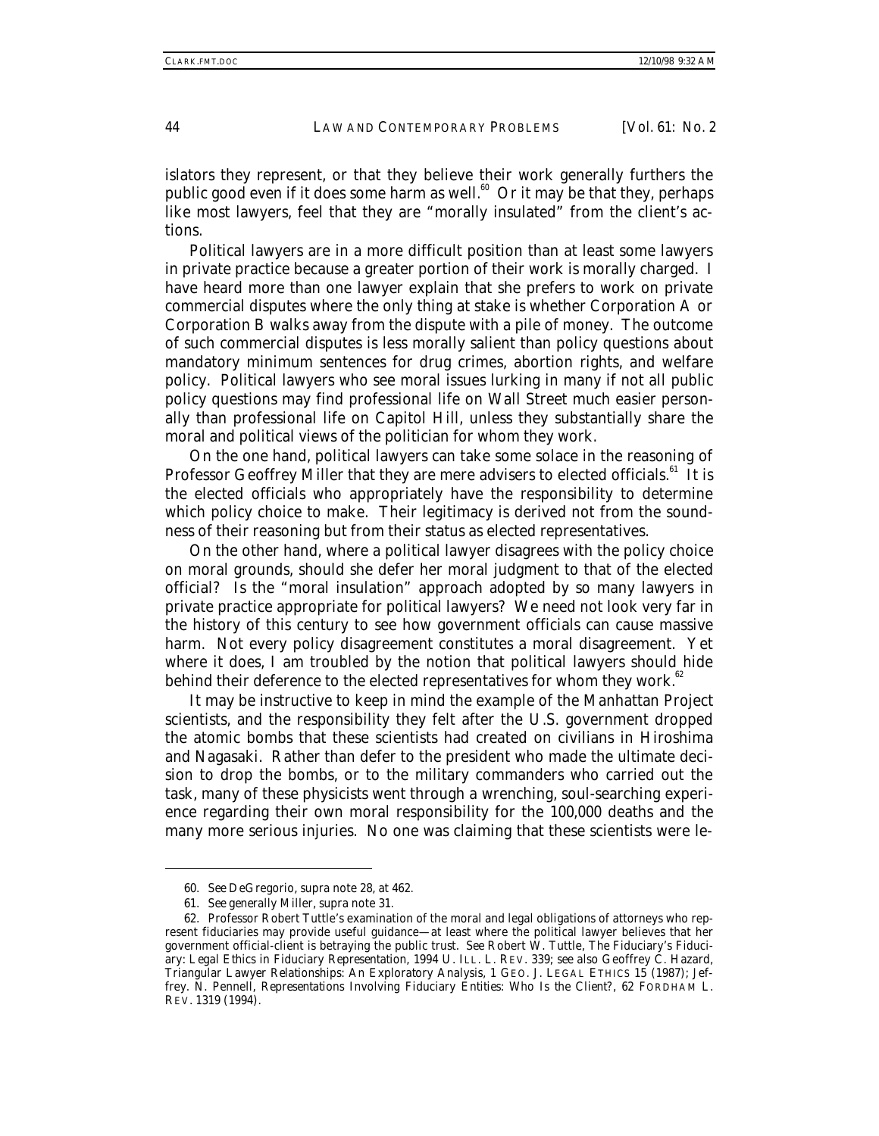islators they represent, or that they believe their work generally furthers the public good even if it does some harm as well.<sup>60</sup> Or it may be that they, perhaps like most lawyers, feel that they are "morally insulated" from the client's actions.

Political lawyers are in a more difficult position than at least some lawyers in private practice because a greater portion of their work is morally charged. I have heard more than one lawyer explain that she prefers to work on private commercial disputes where the only thing at stake is whether Corporation A or Corporation B walks away from the dispute with a pile of money. The outcome of such commercial disputes is less morally salient than policy questions about mandatory minimum sentences for drug crimes, abortion rights, and welfare policy. Political lawyers who see moral issues lurking in many if not all public policy questions may find professional life on Wall Street much easier personally than professional life on Capitol Hill, unless they substantially share the moral and political views of the politician for whom they work.

On the one hand, political lawyers can take some solace in the reasoning of Professor Geoffrey Miller that they are mere advisers to elected officials.<sup>61</sup> It is the elected officials who appropriately have the responsibility to determine which policy choice to make. Their legitimacy is derived not from the soundness of their reasoning but from their status as elected representatives.

On the other hand, where a political lawyer disagrees with the policy choice on moral grounds, should she defer her moral judgment to that of the elected official? Is the "moral insulation" approach adopted by so many lawyers in private practice appropriate for political lawyers? We need not look very far in the history of this century to see how government officials can cause massive harm. Not every policy disagreement constitutes a moral disagreement. Yet where it does, I am troubled by the notion that political lawyers should hide behind their deference to the elected representatives for whom they work.<sup>62</sup>

It may be instructive to keep in mind the example of the Manhattan Project scientists, and the responsibility they felt after the U.S. government dropped the atomic bombs that these scientists had created on civilians in Hiroshima and Nagasaki. Rather than defer to the president who made the ultimate decision to drop the bombs, or to the military commanders who carried out the task, many of these physicists went through a wrenching, soul-searching experience regarding their own moral responsibility for the 100,000 deaths and the many more serious injuries. No one was claiming that these scientists were le-

<sup>60</sup>*. See* DeGregorio, *supra* note 28, at 462.

<sup>61</sup>*. See generally* Miller, *supra* note 31.

<sup>62.</sup> Professor Robert Tuttle's examination of the moral and legal obligations of attorneys who represent fiduciaries may provide useful guidance—at least where the political lawyer believes that her government official-client is betraying the public trust. *See* Robert W. Tuttle, *The Fiduciary's Fiduciary: Legal Ethics in Fiduciary Representation*, 1994 U. ILL. L. REV. 339; *see also* Geoffrey C. Hazard, *Triangular Lawyer Relationships: An Exploratory Analysis*, 1 GEO. J. LEGAL ETHICS 15 (1987); Jeffrey. N. Pennell, *Representations Involving Fiduciary Entities: Who Is the Client?*, 62 FORDHAM L. REV. 1319 (1994).